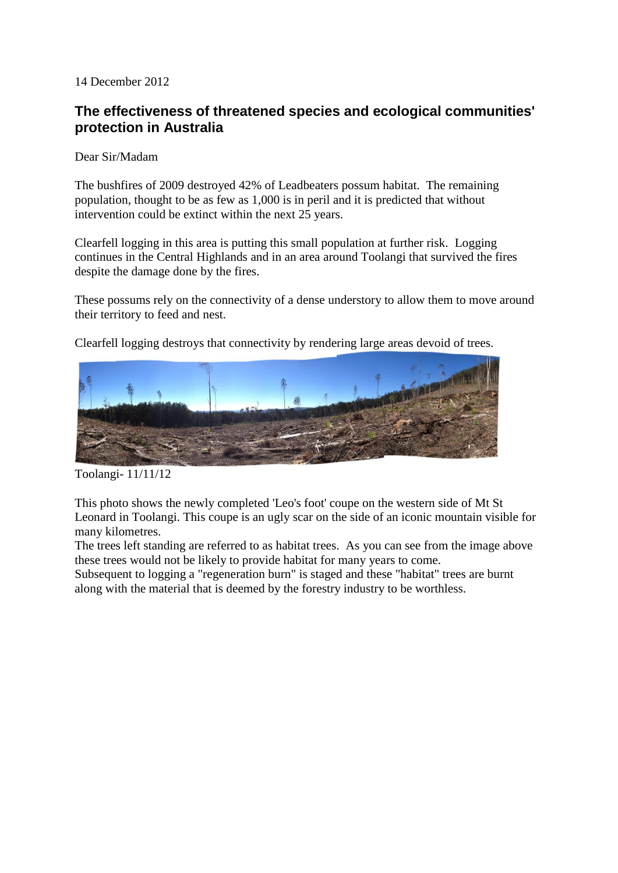14 December 2012

## **The effectiveness of threatened species and ecological communities' protection in Australia**

Dear Sir/Madam

The bushfires of 2009 destroyed 42% of Leadbeaters possum habitat. The remaining population, thought to be as few as 1,000 is in peril and it is predicted that without intervention could be extinct within the next 25 years.

Clearfell logging in this area is putting this small population at further risk. Logging continues in the Central Highlands and in an area around Toolangi that survived the fires despite the damage done by the fires.

These possums rely on the connectivity of a dense understory to allow them to move around their territory to feed and nest.

Clearfell logging destroys that connectivity by rendering large areas devoid of trees.



Toolangi- 11/11/12

This photo shows the newly completed 'Leo's foot' coupe on the western side of Mt St Leonard in Toolangi. This coupe is an ugly scar on the side of an iconic mountain visible for many kilometres.

The trees left standing are referred to as habitat trees. As you can see from the image above these trees would not be likely to provide habitat for many years to come.

Subsequent to logging a "regeneration burn" is staged and these "habitat" trees are burnt along with the material that is deemed by the forestry industry to be worthless.